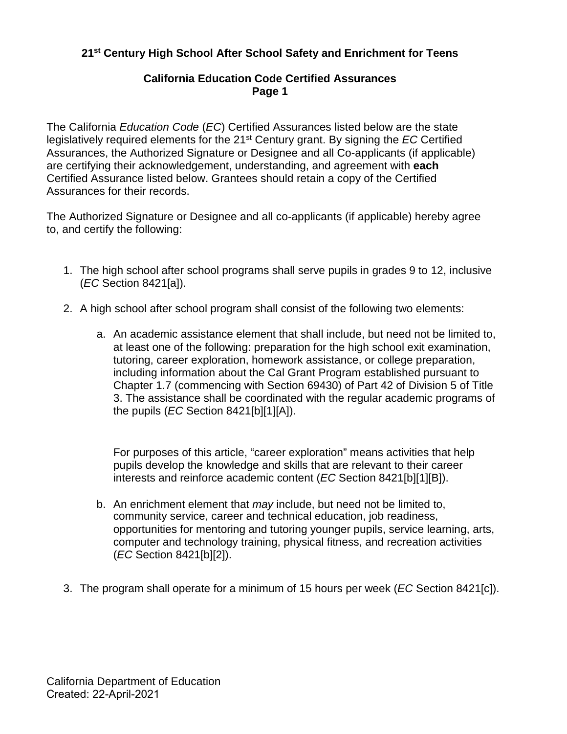## **California Education Code Certified Assurances Page 1**

The California *Education Code* (*EC*) Certified Assurances listed below are the state legislatively required elements for the 21st Century grant. By signing the *EC* Certified Assurances, the Authorized Signature or Designee and all Co-applicants (if applicable) are certifying their acknowledgement, understanding, and agreement with **each**  Certified Assurance listed below. Grantees should retain a copy of the Certified Assurances for their records.

The Authorized Signature or Designee and all co-applicants (if applicable) hereby agree to, and certify the following:

- 1. The high school after school programs shall serve pupils in grades 9 to 12, inclusive (*EC* [Section 8421\[a\]\).](https://www.cde.ca.gov/fg/fo/fm/ff.asp)
- 2. A high school after school program shall consist of the following two elements:
	- a. An academic assistance element that shall include, but need not be limited to, at least one of the following: preparation for the high school exit examination, tutoring, career exploration, homework assistance, or college preparation, including information about the Cal Grant Program established pursuant to Chapter 1.7 (commencing with Section 69430) of Part 42 of Division 5 of Title 3. The assistance shall be coordinated with the regular academic programs of the pupils (*EC* Section 8421[b][1][A]).

 For purposes of this article, "career exploration" means activities that help pupils develop the knowledge and skills that are relevant to their career interests and reinforce academic content (*EC* Section 8421[b][1][B]).

- b. An enrichment element that *may* include, but need not be limited to, community service, career and technical education, job readiness, opportunities for mentoring and tutoring younger pupils, service learning, arts, computer and technology training, physical fitness, and recreation activities (*EC* Section 8421[b][2]).
- 3. The program shall operate for a minimum of 15 hours per week (*EC* Section 8421[c]).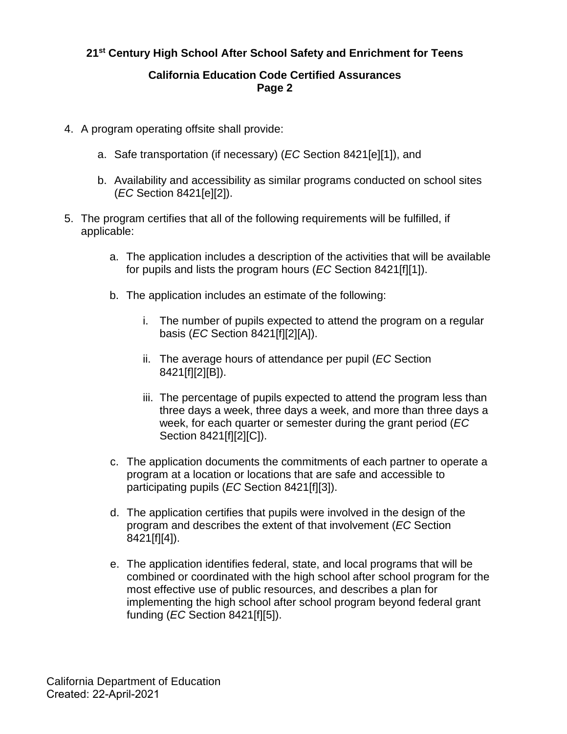## **California Education Code Certified Assurances Page 2**

- 4. A program operating offsite shall provide:
	- a. Safe transportation (if necessary) (*EC* Section 8421[e][1]), and
	- b. Availability and accessibility as similar programs conducted on school sites (*EC* Section 8421[e][2]).
- 5. The program certifies that all of the following requirements will be fulfilled, if applicable:
	- a. The application includes a description of the activities that will be available for pupils and lists the program hours (*EC* Section 8421[f][1]).
	- b. The application includes an estimate of the following:
		- i. The number of pupils expected to attend the program on a regular basis (*EC* Section 8421[f][2][A]).
		- ii. The average hours of attendance per pupil (*EC* Section 8421[f][2][B]).
		- iii. The percentage of pupils expected to attend the program less than three days a week, three days a week, and more than three days a week, for each quarter or semester during the grant period (*EC* Section 8421[f][2][C]).
	- c. The application documents the commitments of each partner to operate a program at a location or locations that are safe and accessible to participating pupils (*EC* Section 8421[f][3]).
	- d. The application certifies that pupils were involved in the design of the program and describes the extent of that involvement (*EC* Section 8421[f][4]).
	- e. The application identifies federal, state, and local programs that will be combined or coordinated with the high school after school program for the most effective use of public resources, and describes a plan for implementing the high school after school program beyond federal grant funding (*EC* Section 8421[f][5]).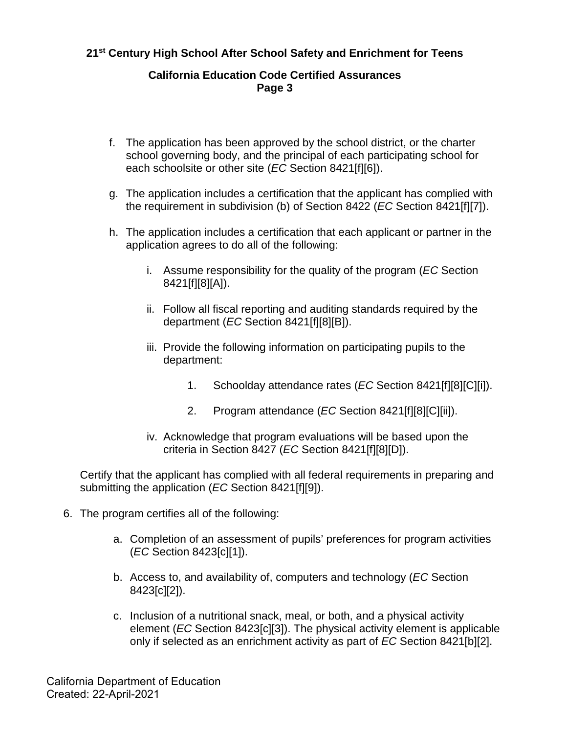#### **California Education Code Certified Assurances Page 3**

- f. The application has been approved by the school district, or the charter school governing body, and the principal of each participating school for each schoolsite or other site (*EC* Section 8421[f][6]).
- g. The application includes a certification that the applicant has complied with the requirement in subdivision (b) of Section 8422 (*EC* Section 8421[f][7]).
- h. The application includes a certification that each applicant or partner in the application agrees to do all of the following:
	- i. Assume responsibility for the quality of the program (*EC* Section 8421[f][8][A]).
	- ii. Follow all fiscal reporting and auditing standards required by the department (*EC* Section 8421[f][8][B]).
	- iii. Provide the following information on participating pupils to the department:
		- 1. Schoolday attendance rates (*EC* Section 8421[f][8][C][i]).
		- 2. Program attendance (*EC* Section 8421[f][8][C][ii]).
	- iv. Acknowledge that program evaluations will be based upon the criteria in Section 8427 (*EC* Section 8421[f][8][D]).

Certify that the applicant has complied with all federal requirements in preparing and submitting the application (*EC* Section 8421[f][9]).

- 6. The program certifies all of the following:
	- a. Completion of an assessment of pupils' preferences for program activities (*EC* Section 8423[c][1]).
	- b. Access to, and availability of, computers and technology (*EC* Section 8423[c][2]).
	- c. Inclusion of a nutritional snack, meal, or both, and a physical activity element (*EC* Section 8423[c][3]). The physical activity element is applicable only if selected as an enrichment activity as part of *EC* Section 8421[b][2].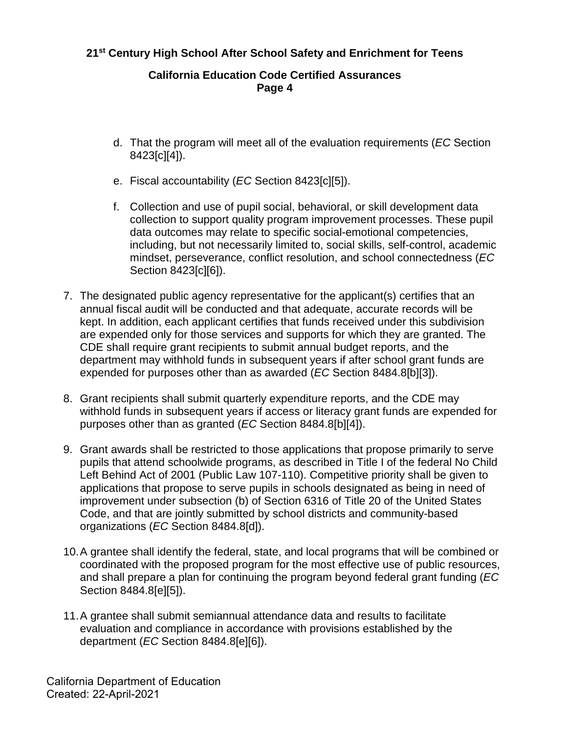## **California Education Code Certified Assurances Page 4**

- d. That the program will meet all of the evaluation requirements (*EC* Section 8423[c][4]).
- e. Fiscal accountability (*EC* Section 8423[c][5]).
- f. Collection and use of pupil social, behavioral, or skill development data collection to support quality program improvement processes. These pupil data outcomes may relate to specific social-emotional competencies, including, but not necessarily limited to, social skills, self-control, academic mindset, perseverance, conflict resolution, and school connectedness (*EC* Section 8423[c][6]).
- 7. The designated public agency representative for the applicant(s) certifies that an annual fiscal audit will be conducted and that adequate, accurate records will be kept. In addition, each applicant certifies that funds received under this subdivision are expended only for those services and supports for which they are granted. The CDE shall require grant recipients to submit annual budget reports, and the department may withhold funds in subsequent years if after school grant funds are expended for purposes other than as awarded (*EC* Section 8484.8[b][3]).
- 8. Grant recipients shall submit quarterly expenditure reports, and the CDE may withhold funds in subsequent years if access or literacy grant funds are expended for purposes other than as granted (*EC* Section 8484.8[b][4]).
- 9. Grant awards shall be restricted to those applications that propose primarily to serve pupils that attend schoolwide programs, as described in Title I of the federal No Child Left Behind Act of 2001 (Public Law 107-110). Competitive priority shall be given to applications that propose to serve pupils in schools designated as being in need of improvement under subsection (b) of Section 6316 of Title 20 of the United States Code, and that are jointly submitted by school districts and community-based organizations (*EC* Section 8484.8[d]).
- 10.A grantee shall identify the federal, state, and local programs that will be combined or coordinated with the proposed program for the most effective use of public resources, and shall prepare a plan for continuing the program beyond federal grant funding (*EC* Section 8484.8[e][5]).
- 11.A grantee shall submit semiannual attendance data and results to facilitate evaluation and compliance in accordance with provisions established by the department (*EC* Section 8484.8[e][6]).

California Department of Education Created: 22-April-2021